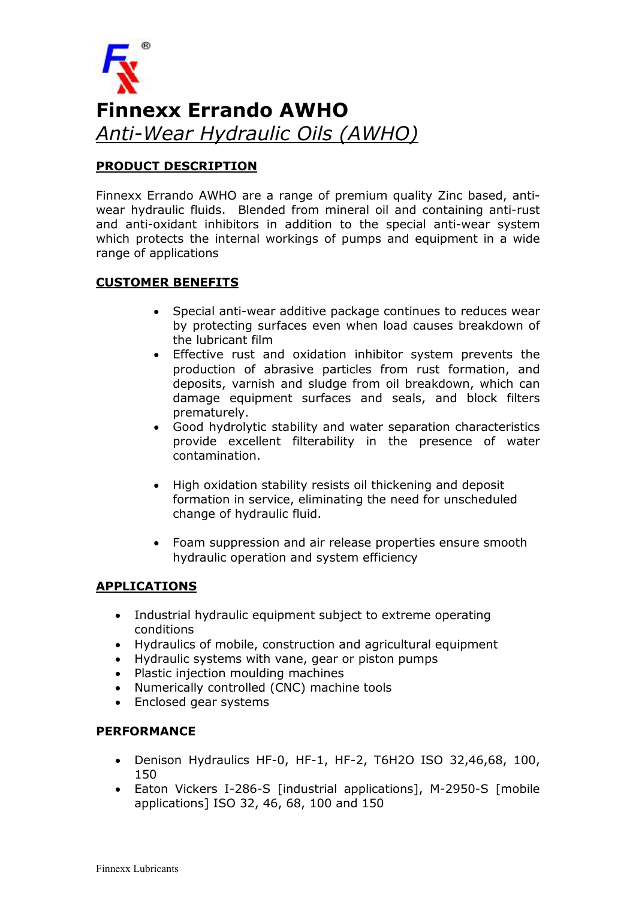

# PRODUCT DESCRIPTION

Finnexx Errando AWHO are a range of premium quality Zinc based, antiwear hydraulic fluids. Blended from mineral oil and containing anti-rust and anti-oxidant inhibitors in addition to the special anti-wear system which protects the internal workings of pumps and equipment in a wide range of applications

### CUSTOMER BENEFITS

- Special anti-wear additive package continues to reduces wear by protecting surfaces even when load causes breakdown of the lubricant film
- Effective rust and oxidation inhibitor system prevents the production of abrasive particles from rust formation, and deposits, varnish and sludge from oil breakdown, which can damage equipment surfaces and seals, and block filters prematurely.
- Good hydrolytic stability and water separation characteristics provide excellent filterability in the presence of water contamination.
- High oxidation stability resists oil thickening and deposit formation in service, eliminating the need for unscheduled change of hydraulic fluid.
- Foam suppression and air release properties ensure smooth hydraulic operation and system efficiency

## APPLICATIONS

- Industrial hydraulic equipment subject to extreme operating conditions
- Hydraulics of mobile, construction and agricultural equipment
- Hydraulic systems with vane, gear or piston pumps
- Plastic injection moulding machines
- Numerically controlled (CNC) machine tools
- Enclosed gear systems

#### PERFORMANCE

- Denison Hydraulics HF-0, HF-1, HF-2, T6H2O ISO 32,46,68, 100, 150
- Eaton Vickers I-286-S [industrial applications], M-2950-S [mobile applications] ISO 32, 46, 68, 100 and 150